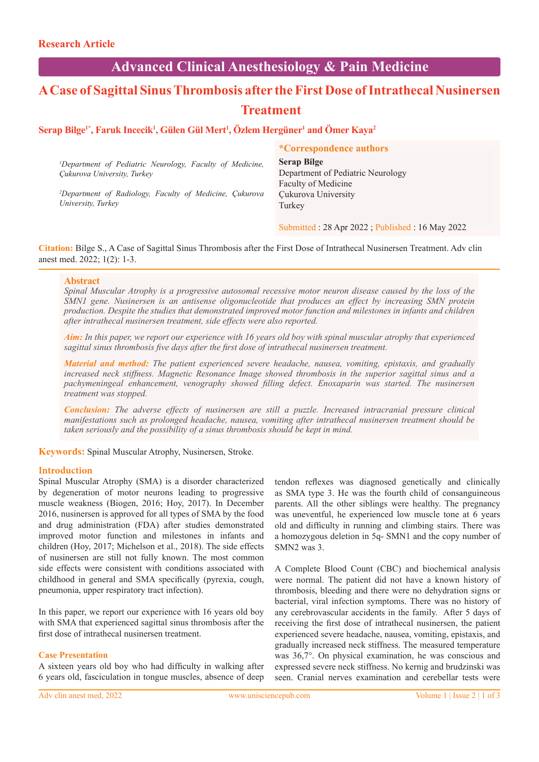## **Advanced Clinical Anesthesiology & Pain Medicine**

# **A Case of Sagittal Sinus Thrombosis after the First Dose of Intrathecal Nusinersen Treatment**

## $\,$  Serap Bilge<sup>1\*</sup>, Faruk Incecik<sup>1</sup>, Gülen Gül Mert<sup>1</sup>, Özlem Hergüner<sup>1</sup> and Ömer Kaya<sup>2</sup>

## **\*Correspondence authors**

*1 Department of Pediatric Neurology, Faculty of Medicine, Çukurova University, Turkey* 

*2 Department of Radiology, Faculty of Medicine, Çukurova University, Turkey*

**Serap Bilge** Department of Pediatric Neurology Faculty of Medicine Çukurova University Turkey

Submitted : 28 Apr 2022 ; Published : 16 May 2022

**Citation:** Bilge S., A Case of Sagittal Sinus Thrombosis after the First Dose of Intrathecal Nusinersen Treatment. Adv clin anest med. 2022; 1(2): 1-3.

#### **Abstract**

*Spinal Muscular Atrophy is a progressive autosomal recessive motor neuron disease caused by the loss of the SMN1 gene. Nusinersen is an antisense oligonucleotide that produces an effect by increasing SMN protein production. Despite the studies that demonstrated improved motor function and milestones in infants and children after intrathecal nusinersen treatment, side effects were also reported.*

*Aim: In this paper, we report our experience with 16 years old boy with spinal muscular atrophy that experienced sagittal sinus thrombosis five days after the first dose of intrathecal nusinersen treatment.* 

*Material and method: The patient experienced severe headache, nausea, vomiting, epistaxis, and gradually increased neck stiffness. Magnetic Resonance Image showed thrombosis in the superior sagittal sinus and a pachymeningeal enhancement, venography showed filling defect. Enoxaparin was started. The nusinersen treatment was stopped.*

*Conclusion: The adverse effects of nusinersen are still a puzzle. Increased intracranial pressure clinical manifestations such as prolonged headache, nausea, vomiting after intrathecal nusinersen treatment should be taken seriously and the possibility of a sinus thrombosis should be kept in mind.*

**Keywords:** Spinal Muscular Atrophy, Nusinersen, Stroke.

## **Introduction**

Spinal Muscular Atrophy (SMA) is a disorder characterized by degeneration of motor neurons leading to progressive muscle weakness (Biogen, 2016; Hoy, 2017). In December 2016, nusinersen is approved for all types of SMA by the food and drug administration (FDA) after studies demonstrated improved motor function and milestones in infants and children (Hoy, 2017; Michelson et al., 2018). The side effects of nusinersen are still not fully known. The most common side effects were consistent with conditions associated with childhood in general and SMA specifically (pyrexia, cough, pneumonia, upper respiratory tract infection).

In this paper, we report our experience with 16 years old boy with SMA that experienced sagittal sinus thrombosis after the first dose of intrathecal nusinersen treatment.

#### **Case Presentation**

A sixteen years old boy who had difficulty in walking after 6 years old, fasciculation in tongue muscles, absence of deep tendon reflexes was diagnosed genetically and clinically as SMA type 3. He was the fourth child of consanguineous parents. All the other siblings were healthy. The pregnancy was uneventful, he experienced low muscle tone at 6 years old and difficulty in running and climbing stairs. There was a homozygous deletion in 5q- SMN1 and the copy number of SMN2 was 3.

A Complete Blood Count (CBC) and biochemical analysis were normal. The patient did not have a known history of thrombosis, bleeding and there were no dehydration signs or bacterial, viral infection symptoms. There was no history of any cerebrovascular accidents in the family. After 5 days of receiving the first dose of intrathecal nusinersen, the patient experienced severe headache, nausea, vomiting, epistaxis, and gradually increased neck stiffness. The measured temperature was 36,7°. On physical examination, he was conscious and expressed severe neck stiffness. No kernig and brudzinski was seen. Cranial nerves examination and cerebellar tests were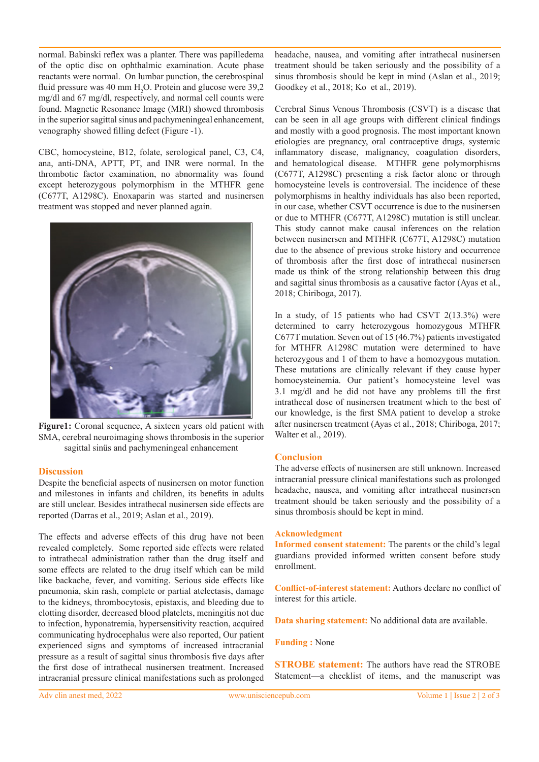normal. Babinski reflex was a planter. There was papilledema of the optic disc on ophthalmic examination. Acute phase reactants were normal. On lumbar punction, the cerebrospinal fluid pressure was 40 mm  $H_2O$ . Protein and glucose were 39,2 mg/dl and 67 mg/dl, respectively, and normal cell counts were found. Magnetic Resonance Image (MRI) showed thrombosis in the superior sagittal sinus and pachymeningeal enhancement, venography showed filling defect (Figure -1).

CBC, homocysteine, B12, folate, serological panel, C3, C4, ana, anti-DNA, APTT, PT, and INR were normal. In the thrombotic factor examination, no abnormality was found except heterozygous polymorphism in the MTHFR gene (C677T, A1298C). Enoxaparin was started and nusinersen treatment was stopped and never planned again.



**Figure1:** Coronal sequence, A sixteen years old patient with SMA, cerebral neuroimaging shows thrombosis in the superior sagittal sinüs and pachymeningeal enhancement

#### **Discussion**

Despite the beneficial aspects of nusinersen on motor function and milestones in infants and children, its benefits in adults are still unclear. Besides intrathecal nusinersen side effects are reported (Darras et al., 2019; Aslan et al., 2019).

The effects and adverse effects of this drug have not been revealed completely. Some reported side effects were related to intrathecal administration rather than the drug itself and some effects are related to the drug itself which can be mild like backache, fever, and vomiting. Serious side effects like pneumonia, skin rash, complete or partial atelectasis, damage to the kidneys, thrombocytosis, epistaxis, and bleeding due to clotting disorder, decreased blood platelets, meningitis not due to infection, hyponatremia, hypersensitivity reaction, acquired communicating hydrocephalus were also reported, Our patient experienced signs and symptoms of increased intracranial pressure as a result of sagittal sinus thrombosis five days after the first dose of intrathecal nusinersen treatment. Increased intracranial pressure clinical manifestations such as prolonged headache, nausea, and vomiting after intrathecal nusinersen treatment should be taken seriously and the possibility of a sinus thrombosis should be kept in mind (Aslan et al., 2019; Goodkey et al., 2018; Ko et al., 2019).

Cerebral Sinus Venous Thrombosis (CSVT) is a disease that can be seen in all age groups with different clinical findings and mostly with a good prognosis. The most important known etiologies are pregnancy, oral contraceptive drugs, systemic inflammatory disease, malignancy, coagulation disorders, and hematological disease. MTHFR gene polymorphisms (C677T, A1298C) presenting a risk factor alone or through homocysteine levels is controversial. The incidence of these polymorphisms in healthy individuals has also been reported, in our case, whether CSVT occurrence is due to the nusinersen or due to MTHFR (C677T, A1298C) mutation is still unclear. This study cannot make causal inferences on the relation between nusinersen and MTHFR (C677T, A1298C) mutation due to the absence of previous stroke history and occurrence of thrombosis after the first dose of intrathecal nusinersen made us think of the strong relationship between this drug and sagittal sinus thrombosis as a causative factor (Ayas et al., 2018; Chiriboga, 2017).

In a study, of 15 patients who had CSVT 2(13.3%) were determined to carry heterozygous homozygous MTHFR C677T mutation. Seven out of 15 (46.7%) patients investigated for MTHFR A1298C mutation were determined to have heterozygous and 1 of them to have a homozygous mutation. These mutations are clinically relevant if they cause hyper homocysteinemia. Our patient's homocysteine level was 3.1 mg/dl and he did not have any problems till the first intrathecal dose of nusinersen treatment which to the best of our knowledge, is the first SMA patient to develop a stroke after nusinersen treatment (Ayas et al., 2018; Chiriboga, 2017; Walter et al., 2019).

## **Conclusion**

The adverse effects of nusinersen are still unknown. Increased intracranial pressure clinical manifestations such as prolonged headache, nausea, and vomiting after intrathecal nusinersen treatment should be taken seriously and the possibility of a sinus thrombosis should be kept in mind.

#### **Acknowledgment**

**Informed consent statement:** The parents or the child's legal guardians provided informed written consent before study enrollment.

**Conflict-of-interest statement:** Authors declare no conflict of interest for this article.

**Data sharing statement:** No additional data are available.

#### **Funding :** None

**STROBE statement:** The authors have read the STROBE Statement—a checklist of items, and the manuscript was